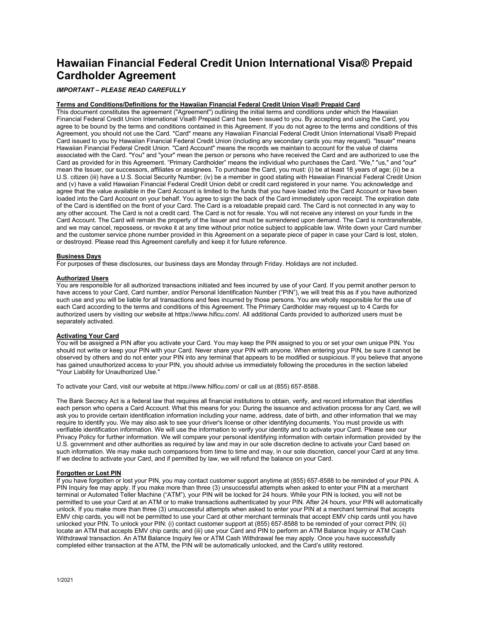# **Hawaiian Financial Federal Credit Union International Visa® Prepaid Cardholder Agreement**

# *IMPORTANT – PLEASE READ CAREFULLY*

# **Terms and Conditions/Definitions for the Hawaiian Financial Federal Credit Union Visa® Prepaid Card**

This document constitutes the agreement ("Agreement") outlining the initial terms and conditions under which the Hawaiian Financial Federal Credit Union International Visa® Prepaid Card has been issued to you. By accepting and using the Card, you agree to be bound by the terms and conditions contained in this Agreement. If you do not agree to the terms and conditions of this Agreement, you should not use the Card. "Card" means any Hawaiian Financial Federal Credit Union International Visa® Prepaid Card issued to you by Hawaiian Financial Federal Credit Union (including any secondary cards you may request). "Issuer" means Hawaiian Financial Federal Credit Union. "Card Account" means the records we maintain to account for the value of claims associated with the Card. "You" and "your" mean the person or persons who have received the Card and are authorized to use the Card as provided for in this Agreement. "Primary Cardholder" means the individual who purchases the Card. "We," "us," and "our" mean the Issuer, our successors, affiliates or assignees. To purchase the Card, you must: (i) be at least 18 years of age; (ii) be a U.S. citizen (iii) have a U.S. Social Security Number; (iv) be a member in good stating with Hawaiian Financial Federal Credit Union and (v) have a valid Hawaiian Financial Federal Credit Union debit or credit card registered in your name. You acknowledge and agree that the value available in the Card Account is limited to the funds that you have loaded into the Card Account or have been loaded into the Card Account on your behalf. You agree to sign the back of the Card immediately upon receipt. The expiration date of the Card is identified on the front of your Card. The Card is a reloadable prepaid card. The Card is not connected in any way to any other account. The Card is not a credit card. The Card is not for resale. You will not receive any interest on your funds in the Card Account. The Card will remain the property of the Issuer and must be surrendered upon demand. The Card is nontransferable, and we may cancel, repossess, or revoke it at any time without prior notice subject to applicable law. Write down your Card number and the customer service phone number provided in this Agreement on a separate piece of paper in case your Card is lost, stolen, or destroyed. Please read this Agreement carefully and keep it for future reference.

#### **Business Days**

For purposes of these disclosures, our business days are Monday through Friday. Holidays are not included.

#### **Authorized Users**

You are responsible for all authorized transactions initiated and fees incurred by use of your Card. If you permit another person to have access to your Card, Card number, and/or Personal Identification Number ("PIN"), we will treat this as if you have authorized such use and you will be liable for all transactions and fees incurred by those persons. You are wholly responsible for the use of each Card according to the terms and conditions of this Agreement. The Primary Cardholder may request up to 4 Cards for authorized users by visiting our website at https://www.hificu.com/. All additional Cards provided to authorized users must be separately activated.

#### **Activating Your Card**

You will be assigned a PIN after you activate your Card. You may keep the PIN assigned to you or set your own unique PIN. You should not write or keep your PIN with your Card. Never share your PIN with anyone. When entering your PIN, be sure it cannot be observed by others and do not enter your PIN into any terminal that appears to be modified or suspicious. If you believe that anyone has gained unauthorized access to your PIN, you should advise us immediately following the procedures in the section labeled "Your Liability for Unauthorized Use."

To activate your Card, visit our website at https://www.hilficu.com/ or call us at (855) 657-8588.

The Bank Secrecy Act is a federal law that requires all financial institutions to obtain, verify, and record information that identifies each person who opens a Card Account. What this means for you: During the issuance and activation process for any Card, we will ask you to provide certain identification information including your name, address, date of birth, and other information that we may require to identify you. We may also ask to see your driver's license or other identifying documents. You must provide us with verifiable identification information. We will use the information to verify your identity and to activate your Card. Please see our Privacy Policy for further information. We will compare your personal identifying information with certain information provided by the U.S. government and other authorities as required by law and may in our sole discretion decline to activate your Card based on such information. We may make such comparisons from time to time and may, in our sole discretion, cancel your Card at any time. If we decline to activate your Card, and if permitted by law, we will refund the balance on your Card.

#### **Forgotten or Lost PIN**

If you have forgotten or lost your PIN, you may contact customer support anytime at (855) 657-8588 to be reminded of your PIN. A PIN Inquiry fee may apply. If you make more than three (3) unsuccessful attempts when asked to enter your PIN at a merchant terminal or Automated Teller Machine ("ATM"), your PIN will be locked for 24 hours. While your PIN is locked, you will not be permitted to use your Card at an ATM or to make transactions authenticated by your PIN. After 24 hours, your PIN will automatically unlock. If you make more than three (3) unsuccessful attempts when asked to enter your PIN at a merchant terminal that accepts EMV chip cards, you will not be permitted to use your Card at other merchant terminals that accept EMV chip cards until you have unlocked your PIN. To unlock your PIN: (i) contact customer support at (855) 657-8588 to be reminded of your correct PIN; (ii) locate an ATM that accepts EMV chip cards; and (iii) use your Card and PIN to perform an ATM Balance Inquiry or ATM Cash Withdrawal transaction. An ATM Balance Inquiry fee or ATM Cash Withdrawal fee may apply. Once you have successfully completed either transaction at the ATM, the PIN will be automatically unlocked, and the Card's utility restored.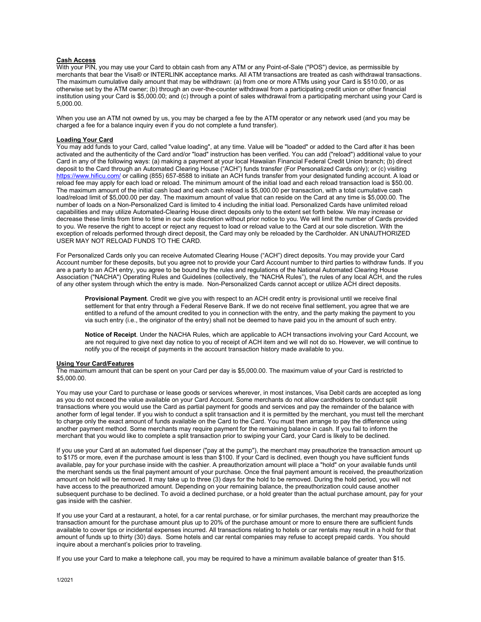# **Cash Access**

With your PIN, you may use your Card to obtain cash from any ATM or any Point-of-Sale ("POS") device, as permissible by merchants that bear the Visa® or INTERLINK acceptance marks. All ATM transactions are treated as cash withdrawal transactions. The maximum cumulative daily amount that may be withdrawn: (a) from one or more ATMs using your Card is \$510.00, or as otherwise set by the ATM owner; (b) through an over-the-counter withdrawal from a participating credit union or other financial institution using your Card is \$5,000.00; and (c) through a point of sales withdrawal from a participating merchant using your Card is 5,000.00.

When you use an ATM not owned by us, you may be charged a fee by the ATM operator or any network used (and you may be charged a fee for a balance inquiry even if you do not complete a fund transfer).

# **Loading Your Card**

You may add funds to your Card, called "value loading", at any time. Value will be "loaded" or added to the Card after it has been activated and the authenticity of the Card and/or "load" instruction has been verified. You can add ("reload") additional value to your Card in any of the following ways: (a) making a payment at your local Hawaiian Financial Federal Credit Union branch; (b) direct deposit to the Card through an Automated Clearing House ("ACH") funds transfer (For Personalized Cards only); or (c) visiting [https://www.hificu.com/](https://www.hitelfcu.com/) or calling (855) 657-8588 to initiate an ACH funds transfer from your designated funding account. A load or reload fee may apply for each load or reload. The minimum amount of the initial load and each reload transaction load is \$50.00. The maximum amount of the initial cash load and each cash reload is \$5,000.00 per transaction, with a total cumulative cash load/reload limit of \$5,000.00 per day. The maximum amount of value that can reside on the Card at any time is \$5,000.00. The number of loads on a Non-Personalized Card is limited to 4 including the initial load. Personalized Cards have unlimited reload capabilities and may utilize Automated-Clearing House direct deposits only to the extent set forth below. We may increase or decrease these limits from time to time in our sole discretion without prior notice to you. We will limit the number of Cards provided to you. We reserve the right to accept or reject any request to load or reload value to the Card at our sole discretion. With the exception of reloads performed through direct deposit, the Card may only be reloaded by the Cardholder. AN UNAUTHORIZED USER MAY NOT RELOAD FUNDS TO THE CARD.

For Personalized Cards only you can receive Automated Clearing House ("ACH") direct deposits. You may provide your Card Account number for these deposits, but you agree not to provide your Card Account number to third parties to withdraw funds. If you are a party to an ACH entry, you agree to be bound by the rules and regulations of the National Automated Clearing House Association ("NACHA") Operating Rules and Guidelines (collectively, the "NACHA Rules"), the rules of any local ACH, and the rules of any other system through which the entry is made. Non-Personalized Cards cannot accept or utilize ACH direct deposits.

**Provisional Payment**. Credit we give you with respect to an ACH credit entry is provisional until we receive final settlement for that entry through a Federal Reserve Bank. If we do not receive final settlement, you agree that we are entitled to a refund of the amount credited to you in connection with the entry, and the party making the payment to you via such entry (i.e., the originator of the entry) shall not be deemed to have paid you in the amount of such entry.

**Notice of Receipt**. Under the NACHA Rules, which are applicable to ACH transactions involving your Card Account, we are not required to give next day notice to you of receipt of ACH item and we will not do so. However, we will continue to notify you of the receipt of payments in the account transaction history made available to you.

# **Using Your Card/Features**

The maximum amount that can be spent on your Card per day is \$5,000.00. The maximum value of your Card is restricted to \$5,000.00.

You may use your Card to purchase or lease goods or services wherever, in most instances, Visa Debit cards are accepted as long as you do not exceed the value available on your Card Account. Some merchants do not allow cardholders to conduct split transactions where you would use the Card as partial payment for goods and services and pay the remainder of the balance with another form of legal tender. If you wish to conduct a split transaction and it is permitted by the merchant, you must tell the merchant to charge only the exact amount of funds available on the Card to the Card. You must then arrange to pay the difference using another payment method. Some merchants may require payment for the remaining balance in cash. If you fail to inform the merchant that you would like to complete a split transaction prior to swiping your Card, your Card is likely to be declined.

If you use your Card at an automated fuel dispenser ("pay at the pump"), the merchant may preauthorize the transaction amount up to \$175 or more, even if the purchase amount is less than \$100. If your Card is declined, even though you have sufficient funds available, pay for your purchase inside with the cashier. A preauthorization amount will place a "hold" on your available funds until the merchant sends us the final payment amount of your purchase. Once the final payment amount is received, the preauthorization amount on hold will be removed. It may take up to three (3) days for the hold to be removed. During the hold period, you will not have access to the preauthorized amount. Depending on your remaining balance, the preauthorization could cause another subsequent purchase to be declined. To avoid a declined purchase, or a hold greater than the actual purchase amount, pay for your gas inside with the cashier.

If you use your Card at a restaurant, a hotel, for a car rental purchase, or for similar purchases, the merchant may preauthorize the transaction amount for the purchase amount plus up to 20% of the purchase amount or more to ensure there are sufficient funds available to cover tips or incidental expenses incurred. All transactions relating to hotels or car rentals may result in a hold for that amount of funds up to thirty (30) days. Some hotels and car rental companies may refuse to accept prepaid cards. You should inquire about a merchant's policies prior to traveling.

If you use your Card to make a telephone call, you may be required to have a minimum available balance of greater than \$15.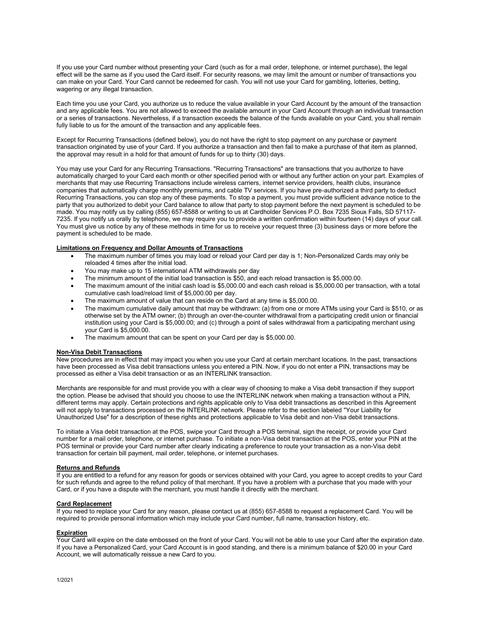If you use your Card number without presenting your Card (such as for a mail order, telephone, or internet purchase), the legal effect will be the same as if you used the Card itself. For security reasons, we may limit the amount or number of transactions you can make on your Card. Your Card cannot be redeemed for cash. You will not use your Card for gambling, lotteries, betting, wagering or any illegal transaction.

Each time you use your Card, you authorize us to reduce the value available in your Card Account by the amount of the transaction and any applicable fees. You are not allowed to exceed the available amount in your Card Account through an individual transaction or a series of transactions. Nevertheless, if a transaction exceeds the balance of the funds available on your Card, you shall remain fully liable to us for the amount of the transaction and any applicable fees.

Except for Recurring Transactions (defined below), you do not have the right to stop payment on any purchase or payment transaction originated by use of your Card. If you authorize a transaction and then fail to make a purchase of that item as planned, the approval may result in a hold for that amount of funds for up to thirty (30) days.

You may use your Card for any Recurring Transactions. "Recurring Transactions" are transactions that you authorize to have automatically charged to your Card each month or other specified period with or without any further action on your part. Examples of merchants that may use Recurring Transactions include wireless carriers, internet service providers, health clubs, insurance companies that automatically charge monthly premiums, and cable TV services. If you have pre-authorized a third party to deduct Recurring Transactions, you can stop any of these payments. To stop a payment, you must provide sufficient advance notice to the party that you authorized to debit your Card balance to allow that party to stop payment before the next payment is scheduled to be made. You may notify us by calling (855) 657-8588 or writing to us at Cardholder Services P.O. Box 7235 Sioux Falls, SD 57117- 7235. If you notify us orally by telephone, we may require you to provide a written confirmation within fourteen (14) days of your call. You must give us notice by any of these methods in time for us to receive your request three (3) business days or more before the payment is scheduled to be made.

#### **Limitations on Frequency and Dollar Amounts of Transactions**

- The maximum number of times you may load or reload your Card per day is 1; Non-Personalized Cards may only be reloaded 4 times after the initial load.
- You may make up to 15 international ATM withdrawals per day
- The minimum amount of the initial load transaction is \$50, and each reload transaction is \$5,000.00.
- The maximum amount of the initial cash load is \$5,000.00 and each cash reload is \$5,000.00 per transaction, with a total cumulative cash load/reload limit of \$5,000.00 per day.
- The maximum amount of value that can reside on the Card at any time is \$5,000.00.
- The maximum cumulative daily amount that may be withdrawn: (a) from one or more ATMs using your Card is \$510, or as otherwise set by the ATM owner; (b) through an over-the-counter withdrawal from a participating credit union or financial institution using your Card is \$5,000.00; and (c) through a point of sales withdrawal from a participating merchant using your Card is \$5,000.00.
- The maximum amount that can be spent on your Card per day is \$5,000.00.

#### **Non-Visa Debit Transactions**

New procedures are in effect that may impact you when you use your Card at certain merchant locations. In the past, transactions have been processed as Visa debit transactions unless you entered a PIN. Now, if you do not enter a PIN, transactions may be processed as either a Visa debit transaction or as an INTERLINK transaction.

Merchants are responsible for and must provide you with a clear way of choosing to make a Visa debit transaction if they support the option. Please be advised that should you choose to use the INTERLINK network when making a transaction without a PIN, different terms may apply. Certain protections and rights applicable only to Visa debit transactions as described in this Agreement will not apply to transactions processed on the INTERLINK network. Please refer to the section labeled "Your Liability for Unauthorized Use" for a description of these rights and protections applicable to Visa debit and non-Visa debit transactions.

To initiate a Visa debit transaction at the POS, swipe your Card through a POS terminal, sign the receipt, or provide your Card number for a mail order, telephone, or internet purchase. To initiate a non-Visa debit transaction at the POS, enter your PIN at the POS terminal or provide your Card number after clearly indicating a preference to route your transaction as a non-Visa debit transaction for certain bill payment, mail order, telephone, or internet purchases.

#### **Returns and Refunds**

If you are entitled to a refund for any reason for goods or services obtained with your Card, you agree to accept credits to your Card for such refunds and agree to the refund policy of that merchant. If you have a problem with a purchase that you made with your Card, or if you have a dispute with the merchant, you must handle it directly with the merchant.

# **Card Replacement**

If you need to replace your Card for any reason, please contact us at (855) 657-8588 to request a replacement Card. You will be required to provide personal information which may include your Card number, full name, transaction history, etc.

# **Expiration**

Your Card will expire on the date embossed on the front of your Card. You will not be able to use your Card after the expiration date. If you have a Personalized Card, your Card Account is in good standing, and there is a minimum balance of \$20.00 in your Card Account, we will automatically reissue a new Card to you.